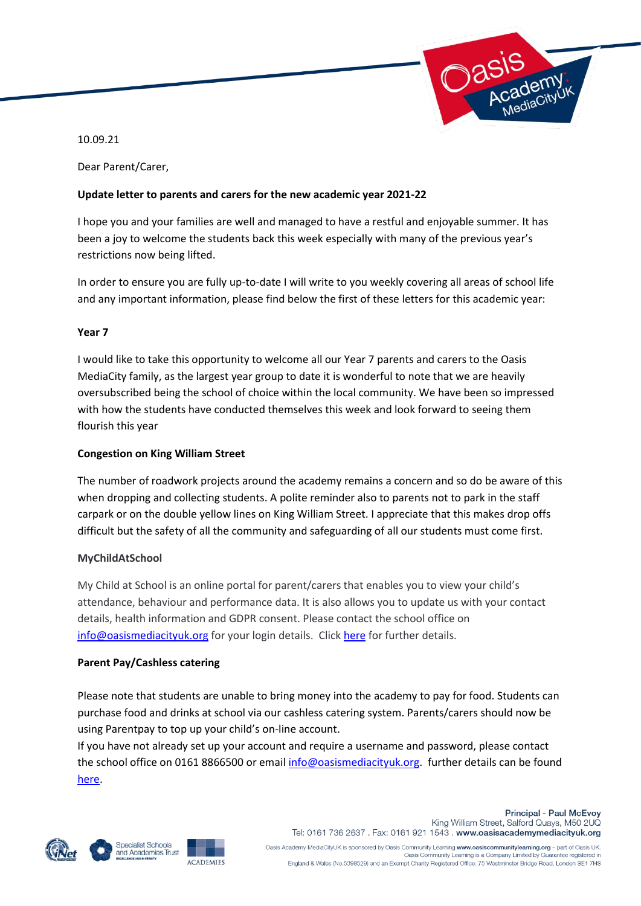

10.09.21

Dear Parent/Carer,

### **Update letter to parents and carers for the new academic year 2021-22**

I hope you and your families are well and managed to have a restful and enjoyable summer. It has been a joy to welcome the students back this week especially with many of the previous year's restrictions now being lifted.

In order to ensure you are fully up-to-date I will write to you weekly covering all areas of school life and any important information, please find below the first of these letters for this academic year:

### **Year 7**

I would like to take this opportunity to welcome all our Year 7 parents and carers to the Oasis MediaCity family, as the largest year group to date it is wonderful to note that we are heavily oversubscribed being the school of choice within the local community. We have been so impressed with how the students have conducted themselves this week and look forward to seeing them flourish this year

### **Congestion on King William Street**

The number of roadwork projects around the academy remains a concern and so do be aware of this when dropping and collecting students. A polite reminder also to parents not to park in the staff carpark or on the double yellow lines on King William Street. I appreciate that this makes drop offs difficult but the safety of all the community and safeguarding of all our students must come first.

#### **MyChildAtSchool**

My Child at School is an online portal for parent/carers that enables you to view your child's attendance, behaviour and performance data. It is also allows you to update us with your contact details, health information and GDPR consent. Please contact the school office on [info@oasismediacityuk.org](mailto:info@oasismediacityuk.org) for your login details. Click [here](https://www.oasisacademymediacityuk.org/academy-life/my-child-at-school-mcas) for further details.

#### **Parent Pay/Cashless catering**

Please note that students are unable to bring money into the academy to pay for food. Students can purchase food and drinks at school via our cashless catering system. Parents/carers should now be using Parentpay to top up your child's on-line account.

If you have not already set up your account and require a username and password, please contact the school office on 0161 8866500 or email [info@oasismediacityuk.org.](mailto:info@oasismediacityuk.org) further details can be found [here.](https://www.oasisacademymediacityuk.org/academy-life/parent-pay)